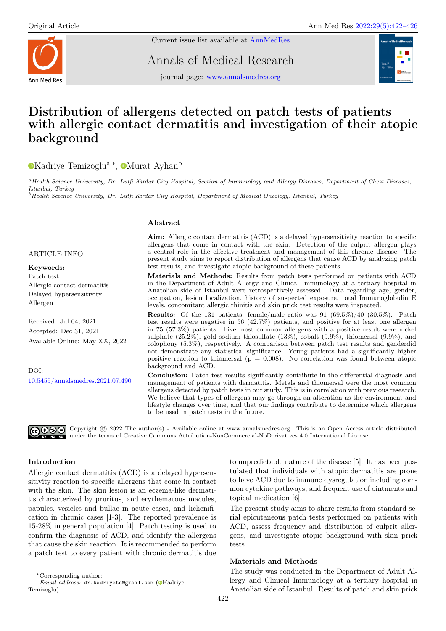

Current issue list available at [AnnMedRes](https://annalsmedres.org/index.php/aomr/issue/view/163)

Annals of Medical Research



journal page: [www.annalsmedres.org](https://www.annalsmedres.org)

# Distribution of allergens detected on patch tests of patients with allergic contact dermatitis and investigation of their atopic background

# [K](https://orcid.org/0000-0002-0674-417X)adriye Temizoglu<sup>a,∗</sup>, <sup>o</sup>[M](https://orcid.org/0000-0002-0631-4006)urat Ayhan<sup>b</sup>

<sup>a</sup>Health Science University, Dr. Lutfi Kırdar City Hospital, Section of Immunology and Allergy Diseases, Department of Chest Diseases, Istanbul, Turkey  $<sup>b</sup> Health Science University, Dr. Luftf Kirdar City Hospital, Department of Medical Oncology, Istanbul, Turkey$ </sup>

# Abstract

# ARTICLE INFO

Keywords: Patch test Allergic contact dermatitis Delayed hypersensitivity Allergen

Received: Jul 04, 2021 Accepted: Dec 31, 2021 Available Online: May XX, 2022

 $DOI<sup>2</sup>$ [10.5455/annalsmedres.2021.07.490](https://doi.org/10.5455/annalsmedres.2021.07.490)

Aim: Allergic contact dermatitis (ACD) is a delayed hypersensitivity reaction to specific allergens that come in contact with the skin. Detection of the culprit allergen plays a central role in the effective treatment and management of this chronic disease. The present study aims to report distribution of allergens that cause ACD by analyzing patch test results, and investigate atopic background of these patients.

Materials and Methods: Results from patch tests performed on patients with ACD in the Department of Adult Allergy and Clinical Immunology at a tertiary hospital in Anatolian side of Istanbul were retrospectively assessed. Data regarding age, gender, occupation, lesion localization, history of suspected exposure, total Immunoglobulin E levels, concomitant allergic rhinitis and skin prick test results were inspected.

**Results:** Of the 131 patients, female/male ratio was  $91 (69.5\%)/40 (30.5\%).$  Patch test results were negative in 56 (42.7%) patients, and positive for at least one allergen in 75 (57.3%) patients. Five most common allergens with a positive result were nickel sulphate (25.2%), gold sodium thiosulfate (13%), cobalt (9.9%), thiomersal (9.9%), and colophony (5.3%), respectively. A comparison between patch test results and genderdid not demonstrate any statistical significance. Young patients had a significantly higher positive reaction to thiomersal ( $p = 0.008$ ). No correlation was found between atopic background and ACD.

Conclusion: Patch test results significantly contribute in the differential diagnosis and management of patients with dermatitis. Metals and thiomersal were the most common allergens detected by patch tests in our study. This is in correlation with previous research. We believe that types of allergens may go through an alteration as the environment and lifestyle changes over time, and that our findings contribute to determine which allergens to be used in patch tests in the future.

COOSO Copyright © 2022 The author(s) - Available online at www.annalsmedres.org. This is an Open Access article distributed under the terms of Creative Commons Attribution-NonCommercial-NoDerivatives 4.0 International License.

# Introduction

Allergic contact dermatitis (ACD) is a delayed hypersensitivity reaction to specific allergens that come in contact with the skin. The skin lesion is an eczema-like dermatitis characterized by pruritus, and erythematous macules, papules, vesicles and bullae in acute cases, and lichenification in chronic cases [1-3]. The reported prevalence is 15-28% in general population [4]. Patch testing is used to confirm the diagnosis of ACD, and identify the allergens that cause the skin reaction. It is recommended to perform a patch test to every patient with chronic dermatitis due

to unpredictable nature of the disease [5]. It has been postulated that individuals with atopic dermatitis are prone to have ACD due to immune dysregulation including common cytokine pathways, and frequent use of ointments and topical medication [6].

The present study aims to share results from standard serial epicutaneous patch tests performed on patients with ACD, assess frequency and distribution of culprit allergens, and investigate atopic background with skin prick tests.

# Materials and Methods

<sup>∗</sup>Corresponding author:

The study was conducted in the Department of Adult Allergy and Clinical Immunology at a tertiary hospital in Anatolian side of Istanbul. Results of patch and skin prick

Email address: dr.kadriyete@gmail.com [\(](https://orcid.org/0000-0002-0674-417X)@Kadriye Temizoglu)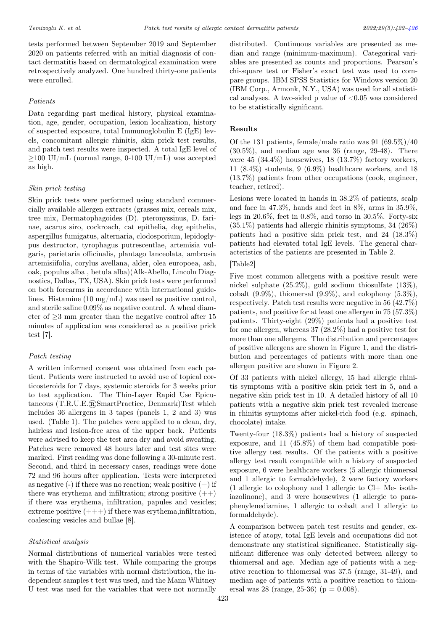tests performed between September 2019 and September 2020 on patients referred with an initial diagnosis of contact dermatitis based on dermatological examination were retrospectively analyzed. One hundred thirty-one patients were enrolled.

## Patients

Data regarding past medical history, physical examination, age, gender, occupation, lesion localization, history of suspected exposure, total Immunoglobulin E (IgE) levels, concomitant allergic rhinitis, skin prick test results, and patch test results were inspected. A total IgE level of  $\geq$ 100 UI/mL (normal range, 0-100 UI/mL) was accepted as high.

#### Skin prick testing

Skin prick tests were performed using standard commercially available allergen extracts (grasses mix, cereals mix, tree mix, Dermatophagoides (D). pteronyssinus, D. farinae, acarus siro, cockroach, cat epithelia, dog epithelia, aspergillus fumigatus, alternaria, clodosporium, lepidoglypus destructor, tyrophagus putrescentlae, artemisia vulgaris, parietaria officinalis, plantago lanceolata, ambrosia artemisiifolia, corylus avellana, alder, olea europoea, ash, oak, populus alba , betula alba)(Alk-Abello, Lincoln Diagnostics, Dallas, TX, USA). Skin prick tests were performed on both forearms in accordance with international guidelines. Histamine (10 mg/mL) was used as positive control, and sterile saline 0.09% as negative control. A wheal diameter of ≥3 mm greater than the negative control after 15 minutes of application was considered as a positive prick test [7].

#### Patch testing

A written informed consent was obtained from each patient. Patients were instructed to avoid use of topical corticosteroids for 7 days, systemic steroids for 3 weeks prior to test application. The Thin-Layer Rapid Use Epicutaneous  $(T.R.U.E.(R)SmartPractice, Denmark)Test which$ includes 36 allergens in 3 tapes (panels 1, 2 and 3) was used. (Table 1). The patches were applied to a clean, dry, hairless and lesion-free area of the upper back. Patients were advised to keep the test area dry and avoid sweating. Patches were removed 48 hours later and test sites were marked. First reading was done following a 30-minute rest. Second, and third in necessary cases, readings were done 72 and 96 hours after application. Tests were interpreted as negative  $(-)$  if there was no reaction; weak positive  $(+)$  if there was erythema and infiltration; strong positive  $(++)$ if there was erythema, infiltration, papules and vesicles; extreme positive  $(++)$  if there was erythema, infiltration, coalescing vesicles and bullae [8].

#### Statistical analysis

Normal distributions of numerical variables were tested with the Shapiro-Wilk test. While comparing the groups in terms of the variables with normal distribution, the independent samples t test was used, and the Mann Whitney U test was used for the variables that were not normally

distributed. Continuous variables are presented as median and range (minimum-maximum). Categorical variables are presented as counts and proportions. Pearson's chi-square test or Fisher's exact test was used to compare groups. IBM SPSS Statistics for Windows version 20 (IBM Corp., Armonk, N.Y., USA) was used for all statistical analyses. A two-sided p value of  $< 0.05$  was considered to be statistically significant.

#### Results

Of the 131 patients, female/male ratio was 91 (69.5%)/40  $(30.5\%)$ , and median age was 36 (range, 29-48). There were 45 (34.4%) housewives, 18 (13.7%) factory workers, 11 (8.4%) students, 9 (6.9%) healthcare workers, and 18 (13.7%) patients from other occupations (cook, engineer, teacher, retired).

Lesions were located in hands in 38.2% of patients, scalp and face in 47.3%, hands and feet in 8%, arms in 35.9%, legs in 20.6%, feet in 0.8%, and torso in 30.5%. Forty-six (35.1%) patients had allergic rhinitis symptoms, 34 (26%) patients had a positive skin prick test, and 24 (18.3%) patients had elevated total IgE levels. The general characteristics of the patients are presented in Table 2.

## [Table2]

Five most common allergens with a positive result were nickel sulphate (25.2%), gold sodium thiosulfate (13%), cobalt  $(9.9\%)$ , thiomersal  $(9.9\%)$ , and colophony  $(5.3\%)$ , respectively. Patch test results were negative in 56 (42.7%) patients, and positive for at least one allergen in 75 (57.3%) patients. Thirty-eight (29%) patients had a positive test for one allergen, whereas 37 (28.2%) had a positive test for more than one allergens. The distribution and percentages of positive allergens are shown in Figure 1, and the distribution and percentages of patients with more than one allergen positive are shown in Figure 2.

Of 33 patients with nickel allergy, 15 had allergic rhinitis symptoms with a positive skin prick test in 5, and a negative skin prick test in 10. A detailed history of all 10 patients with a negative skin prick test revealed increase in rhinitis symptoms after nickel-rich food (e.g. spinach, chocolate) intake.

Twenty-four (18.3%) patients had a history of suspected exposure, and 11 (45.8%) of them had compatible positive allergy test results. Of the patients with a positive allergy test result compatible with a history of suspected exposure, 6 were healthcare workers (5 allergic thiomersal and 1 allergic to formaldehyde), 2 were factory workers  $(1)$  allergic to colophony and 1 allergic to  $Cl+$  Me- isothiazolinone), and 3 were housewives (1 allergic to paraphenylenediamine, 1 allergic to cobalt and 1 allergic to formaldehyde).

A comparison between patch test results and gender, existence of atopy, total IgE levels and occupations did not demonstrate any statistical significance. Statistically significant difference was only detected between allergy to thiomersal and age. Median age of patients with a negative reaction to thiomersal was 37.5 (range, 31-49), and median age of patients with a positive reaction to thiomersal was 28 (range, 25-36) ( $p = 0.008$ ).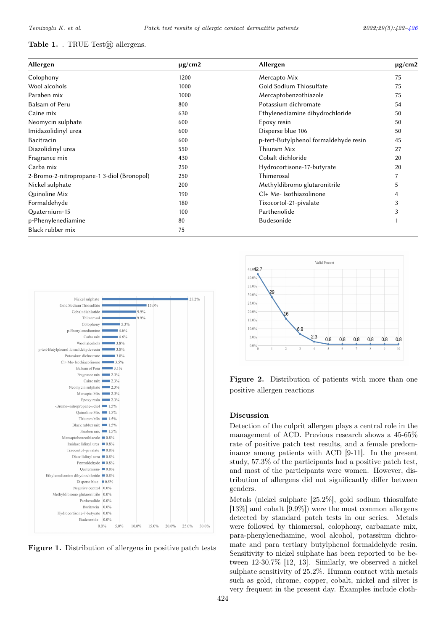# Table 1. . TRUE  $\operatorname{Test}(\widehat{{\textbf{R}}} )$  all<br>ergens.

| Allergen                                   | $\mu$ g/cm2 | Allergen                              | $\mu$ g/cm2 |
|--------------------------------------------|-------------|---------------------------------------|-------------|
| Colophony                                  | 1200        | Mercapto Mix                          | 75          |
| Wool alcohols                              | 1000        | Gold Sodium Thiosulfate               | 75          |
| Paraben mix                                | 1000        | Mercaptobenzothiazole                 | 75          |
| Balsam of Peru                             | 800         | Potassium dichromate                  | 54          |
| Caine mix                                  | 630         | Ethylenediamine dihydrochloride       | 50          |
| Neomycin sulphate                          | 600         | Epoxy resin                           | 50          |
| Imidazolidinyl urea                        | 600         | Disperse blue 106                     | 50          |
| Bacitracin                                 | 600         | p-tert-Butylphenol formaldehyde resin | 45          |
| Diazolidinyl urea                          | 550         | Thiuram Mix                           | 27          |
| Fragrance mix                              | 430         | Cobalt dichloride                     | 20          |
| Carba mix                                  | 250         | Hydrocortisone-17-butyrate            | 20          |
| 2-Bromo-2-nitropropane-1 3-diol (Bronopol) | 250         | Thimerosal                            |             |
| Nickel sulphate                            | 200         | Methyldibromo glutaronitrile          | 5           |
| Quinoline Mix                              | 190         | Cl+ Me- Isothiazolinone               | 4           |
| Formaldehyde                               | 180         | Tixocortol-21-pivalate                | 3           |
| Quaternium-15                              | 100         | Parthenolide                          | 3           |
| p-Phenylenediamine                         | 80          | Budesonide                            |             |
| Black rubber mix                           | 75          |                                       |             |



Figure 1. Distribution of allergens in positive patch tests

<span id="page-2-0"></span>

Figure 2. Distribution of patients with more than one positive allergen reactions

# Discussion

Detection of the culprit allergen plays a central role in the management of ACD. Previous research shows a 45-65% rate of positive patch test results, and a female predominance among patients with ACD [9-11]. In the present study, 57.3% of the participants had a positive patch test, and most of the participants were women. However, distribution of allergens did not significantly differ between genders.

Metals (nickel sulphate [25.2%], gold sodium thiosulfate [13%] and cobalt [9.9%]) were the most common allergens detected by standard patch tests in our series. Metals were followed by thiomersal, colophony, carbamate mix, para-phenylenediamine, wool alcohol, potassium dichromate and para tertiary butylphenol formaldehyde resin. Sensitivity to nickel sulphate has been reported to be between 12-30.7% [12, 13]. Similarly, we observed a nickel sulphate sensitivity of 25.2%. Human contact with metals such as gold, chrome, copper, cobalt, nickel and silver is very frequent in the present day. Examples include cloth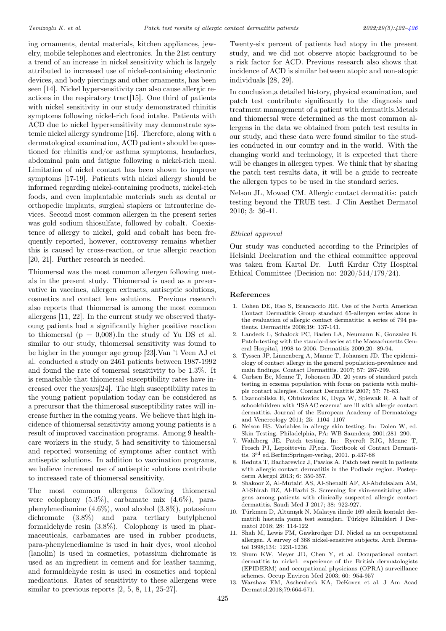ing ornaments, dental materials, kitchen appliances, jewelry, mobile telephones and electronics. İn the 21st century a trend of an increase in nickel sensitivity which is largely attributed to increased use of nickel-containing electronic devices, and body piercings and other ornaments, has been seen [14]. Nickel hypersensitivity can also cause allergic reactions in the respiratory tract[15]. One third of patients with nickel sensitivity in our study demonstrated rhinitis symptoms following nickel-rich food intake. Patients with ACD due to nickel hypersensitivity may demonstrate systemic nickel allergy syndrome [16]. Therefore, along with a dermatological examination, ACD patients should be questioned for rhinitis and/or asthma symptoms, headaches, abdominal pain and fatigue following a nickel-rich meal. Limitation of nickel contact has been shown to improve symptoms [17-19]. Patients with nickel allergy should be informed regarding nickel-containing products, nickel-rich foods, and even implantable materials such as dental or orthopedic implants, surgical staplers or intrauterine devices. Second most common allergen in the present series was gold sodium thiosulfate, followed by cobalt. Coexistence of allergy to nickel, gold and cobalt has been frequently reported, however, controversy remains whether this is caused by cross-reaction, or true allergic reaction [20, 21]. Further research is needed.

Thiomersal was the most common allergen following metals in the present study. Thiomersal is used as a preservative in vaccines, allergen extracts, antiseptic solutions, cosmetics and contact lens solutions. Previous research also reports that thiomersal is among the most common allergens [11, 22]. In the current study we observed thatyoung patients had a significantly higher positive reaction to thiomersal ( $p = 0.008$ ). In the study of Yu DS et al. similar to our study, thiomersal sensitivity was found to be higher in the younger age group [23].Van 't Veen AJ et al. conducted a study on 2461 patients between 1987-1992 and found the rate of tomersal sensitivity to be 1.3%. It is remarkable that thiomersal susceptibility rates have increased over the years[24]. The high susceptibility rates in the young patient population today can be considered as a precursor that the thimerosal susceptibility rates will increase further in the coming years. We believe that high incidence of thiomersal sensitivity among young patients is a result of improved vaccination programs. Among 9 healthcare workers in the study, 5 had sensitivity to thiomersal and reported worsening of symptoms after contact with antiseptic solutions. In addition to vaccination programs, we believe increased use of antiseptic solutions contribute to increased rate of thiomersal sensitivity.

The most common allergens following thiomersal were colophony (5.3%), carbamate mix (4,6%), paraphenylenediamine (4.6%), wool alcohol (3.8%), potassium dichromate (3.8%) and para tertiary butylphenol formaldehyde resin (3.8%). Colophony is used in pharmaceuticals, carbamates are used in rubber products, para-phenylenediamine is used in hair dyes, wool alcohol (lanolin) is used in cosmetics, potassium dichromate is used as an ingredient in cement and for leather tanning, and formaldehyde resin is used in cosmetics and topical medications. Rates of sensitivity to these allergens were similar to previous reports  $[2, 5, 8, 11, 25-27]$ .

Twenty-six percent of patients had atopy in the present study, and we did not observe atopic background to be a risk factor for ACD. Previous research also shows that incidence of ACD is similar between atopic and non-atopic individuals [28, 29].

In conclusion,a detailed history, physical examination, and patch test contribute significantly to the diagnosis and treatment management of a patient with dermatitis.Metals and thiomersal were determined as the most common allergens in the data we obtained from patch test results in our study, and these data were found similar to the studies conducted in our country and in the world. With the changing world and technology, it is expected that there will be changes in allergen types. We think that by sharing the patch test results data, it will be a guide to recreate the allergen types to be used in the standard series.

Nelson JL, Mowad CM. Allergic contact dermatitis: patch testing beyond the TRUE test. J Clin Aesthet Dermatol 2010; 3: 36-41.

#### Ethical approval

Our study was conducted according to the Principles of Helsinki Declaration and the ethical committee approval was taken from Kartal Dr. Lutfi Kırdar City Hospital Ethical Committee (Decision no: 2020/514/179/24).

#### References

- 1. Cohen DE, Rao S, Brancaccio RR. Use of the North American Contact Dermatitis Group standard 65-allergen series alone in the evaluation of allergic contact dermatitis: a series of 794 patients. Dermatitis 2008;19: 137-141.
- 2. Landeck L, Schalock PC, Baden LA, Neumann K, Gonzalez E. Patch-testing with the standard series at the Massachusetts General Hospital, 1998 to 2006. Dermatitis 2009;20: 89-94.
- 3. Tyssen JP, Linnenberg A, Manne T, Johansen JD. The epidemiology of contact allergy in the general population-prevalence and main findings. Contact Dermatitis. 2007; 57: 287-299.
- 4. Carlsen Bc, Menne T, Johonsen JD. 20 years of standard patch testing in eczema population with focus on patients with multiple contact allergies. Contact Dermatitis 2007; 57: 76-83.
- 5. Czarnobilska E, Obtulowicz K, Dyga W, Spiewak R. A half of schoolchildren with 'ISAAC eczema' are ill with allergic contact dermatitis. Journal of the European Academy of Dermatology and Venereology 2011; 25: 1104–1107
- Nelson HS. Variables in allergy skin testing. In: Dolen W, ed. Skin Testing. Philadelphia, PA: WB Saunders; 2001:281–290.
- 7. Wahlberg JE. Patch testing. In: Rycroft RJG, Menne T, Frosch PJ, Lepoittevin JP,eds. Textbook of Contact Dermatitis. 3rd ed.Berlin:Springer-verlag, 2001. p.437-68
- 8. Reduta T, Bacharewicz J, Pawlos A. Patch test result in patients with allergic contact dermatitis in the Podlasie region. Postepderm Alergol 2013; 6: 350-357.
- 9. Shakoor Z, Al-Mutairi AS, Al-Shenaifi AF, Al-Abdulsalam AM, Al-Shirah BZ, Al-Harbi S. Screening for skin-sensitizing allergens among patients with clinically suspected allergic contact dermatitis. Saudi Med J 2017; 38: 922-927.
- 10. Türkmen D, Altunışık N. Malatya ilinde 169 alerik kontakt dermatitli hastada yama test sonuçları. Türkiye Klinikleri J Dermatol 2018; 28: 114-122
- 11. Shah M, Lewis FM, Gawkrodger DJ. Nickel as an occupational allergen. A survey of 368 nickel-sensitive subjects. Arch Dermatol 1998;134: 1231-1236.
- 12. Shum KW, Meyer JD, Chen Y, et al. Occupational contact dermatitis to nickel: experience of the British dermatologists (EPIDERM) and occupational physicians (OPRA) surveillance schemes. Occup Environ Med 2003; 60: 954-957
- 13. Warshaw EM, Aschenbeck KA, DeKoven et al. J Am Acad Dermatol.2018;79:664-671.